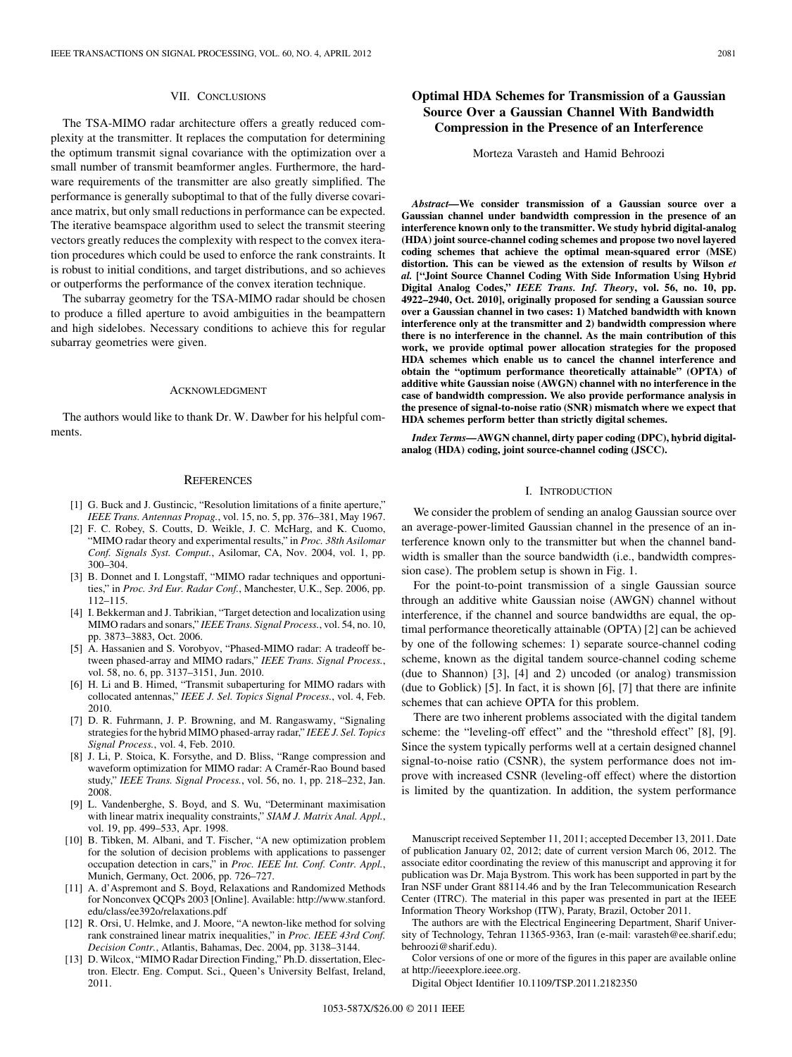## VII. CONCLUSIONS

The TSA-MIMO radar architecture offers a greatly reduced complexity at the transmitter. It replaces the computation for determining the optimum transmit signal covariance with the optimization over a small number of transmit beamformer angles. Furthermore, the hardware requirements of the transmitter are also greatly simplified. The performance is generally suboptimal to that of the fully diverse covariance matrix, but only small reductions in performance can be expected. The iterative beamspace algorithm used to select the transmit steering vectors greatly reduces the complexity with respect to the convex iteration procedures which could be used to enforce the rank constraints. It is robust to initial conditions, and target distributions, and so achieves or outperforms the performance of the convex iteration technique.

The subarray geometry for the TSA-MIMO radar should be chosen to produce a filled aperture to avoid ambiguities in the beampattern and high sidelobes. Necessary conditions to achieve this for regular subarray geometries were given.

### ACKNOWLEDGMENT

The authors would like to thank Dr. W. Dawber for his helpful comments.

#### **REFERENCES**

- [1] G. Buck and J. Gustincic, "Resolution limitations of a finite aperture," *IEEE Trans. Antennas Propag.*, vol. 15, no. 5, pp. 376–381, May 1967.
- [2] F. C. Robey, S. Coutts, D. Weikle, J. C. McHarg, and K. Cuomo, "MIMO radar theory and experimental results," in *Proc. 38th Asilomar Conf. Signals Syst. Comput.*, Asilomar, CA, Nov. 2004, vol. 1, pp. 300–304.
- [3] B. Donnet and I. Longstaff, "MIMO radar techniques and opportunities," in *Proc. 3rd Eur. Radar Conf.*, Manchester, U.K., Sep. 2006, pp. 112–115.
- [4] I. Bekkerman and J. Tabrikian, "Target detection and localization using MIMO radars and sonars," *IEEE Trans. Signal Process.*, vol. 54, no. 10, pp. 3873–3883, Oct. 2006.
- [5] A. Hassanien and S. Vorobyov, "Phased-MIMO radar: A tradeoff between phased-array and MIMO radars," *IEEE Trans. Signal Process.*, vol. 58, no. 6, pp. 3137–3151, Jun. 2010.
- [6] H. Li and B. Himed, "Transmit subaperturing for MIMO radars with collocated antennas," *IEEE J. Sel. Topics Signal Process.*, vol. 4, Feb. 2010.
- [7] D. R. Fuhrmann, J. P. Browning, and M. Rangaswamy, "Signaling strategies for the hybrid MIMO phased-array radar," *IEEE J. Sel. Topics Signal Process.*, vol. 4, Feb. 2010.
- [8] J. Li, P. Stoica, K. Forsythe, and D. Bliss, "Range compression and waveform optimization for MIMO radar: A Cramér-Rao Bound based study," *IEEE Trans. Signal Process.*, vol. 56, no. 1, pp. 218–232, Jan. 2008.
- [9] L. Vandenberghe, S. Boyd, and S. Wu, "Determinant maximisation with linear matrix inequality constraints," *SIAM J. Matrix Anal. Appl.*, vol. 19, pp. 499–533, Apr. 1998.
- [10] B. Tibken, M. Albani, and T. Fischer, "A new optimization problem for the solution of decision problems with applications to passenger occupation detection in cars," in *Proc. IEEE Int. Conf. Contr. Appl.*, Munich, Germany, Oct. 2006, pp. 726–727.
- [11] A. d'Aspremont and S. Boyd, Relaxations and Randomized Methods for Nonconvex QCQPs 2003 [Online]. Available: http://www.stanford. edu/class/ee392o/relaxations.pdf
- [12] R. Orsi, U. Helmke, and J. Moore, "A newton-like method for solving rank constrained linear matrix inequalities," in *Proc. IEEE 43rd Conf. Decision Contr.*, Atlantis, Bahamas, Dec. 2004, pp. 3138–3144.
- [13] D. Wilcox, "MIMO Radar Direction Finding," Ph.D. dissertation, Electron. Electr. Eng. Comput. Sci., Queen's University Belfast, Ireland, 2011.

# **Optimal HDA Schemes for Transmission of a Gaussian Source Over a Gaussian Channel With Bandwidth Compression in the Presence of an Interference**

Morteza Varasteh and Hamid Behroozi

*Abstract—***We consider transmission of a Gaussian source over a Gaussian channel under bandwidth compression in the presence of an interference known only to the transmitter. We study hybrid digital-analog (HDA) joint source-channel coding schemes and propose two novel layered coding schemes that achieve the optimal mean-squared error (MSE) distortion. This can be viewed as the extension of results by Wilson** *et al.* **["Joint Source Channel Coding With Side Information Using Hybrid Digital Analog Codes,"** *IEEE Trans. Inf. Theory***, vol. 56, no. 10, pp. 4922–2940, Oct. 2010], originally proposed for sending a Gaussian source over a Gaussian channel in two cases: 1) Matched bandwidth with known interference only at the transmitter and 2) bandwidth compression where there is no interference in the channel. As the main contribution of this work, we provide optimal power allocation strategies for the proposed HDA schemes which enable us to cancel the channel interference and obtain the "optimum performance theoretically attainable" (OPTA) of additive white Gaussian noise (AWGN) channel with no interference in the case of bandwidth compression. We also provide performance analysis in the presence of signal-to-noise ratio (SNR) mismatch where we expect that HDA schemes perform better than strictly digital schemes.**

*Index Terms—***AWGN channel, dirty paper coding (DPC), hybrid digitalanalog (HDA) coding, joint source-channel coding (JSCC).**

### I. INTRODUCTION

We consider the problem of sending an analog Gaussian source over an average-power-limited Gaussian channel in the presence of an interference known only to the transmitter but when the channel bandwidth is smaller than the source bandwidth (i.e., bandwidth compression case). The problem setup is shown in Fig. 1.

For the point-to-point transmission of a single Gaussian source through an additive white Gaussian noise (AWGN) channel without interference, if the channel and source bandwidths are equal, the optimal performance theoretically attainable (OPTA) [2] can be achieved by one of the following schemes: 1) separate source-channel coding scheme, known as the digital tandem source-channel coding scheme (due to Shannon) [3], [4] and 2) uncoded (or analog) transmission (due to Goblick) [5]. In fact, it is shown [6], [7] that there are infinite schemes that can achieve OPTA for this problem.

There are two inherent problems associated with the digital tandem scheme: the "leveling-off effect" and the "threshold effect" [8], [9]. Since the system typically performs well at a certain designed channel signal-to-noise ratio (CSNR), the system performance does not improve with increased CSNR (leveling-off effect) where the distortion is limited by the quantization. In addition, the system performance

Manuscript received September 11, 2011; accepted December 13, 2011. Date of publication January 02, 2012; date of current version March 06, 2012. The associate editor coordinating the review of this manuscript and approving it for publication was Dr. Maja Bystrom. This work has been supported in part by the Iran NSF under Grant 88114.46 and by the Iran Telecommunication Research Center (ITRC). The material in this paper was presented in part at the IEEE Information Theory Workshop (ITW), Paraty, Brazil, October 2011.

The authors are with the Electrical Engineering Department, Sharif University of Technology, Tehran 11365-9363, Iran (e-mail: varasteh@ee.sharif.edu; behroozi@sharif.edu).

Color versions of one or more of the figures in this paper are available online at http://ieeexplore.ieee.org.

Digital Object Identifier 10.1109/TSP.2011.2182350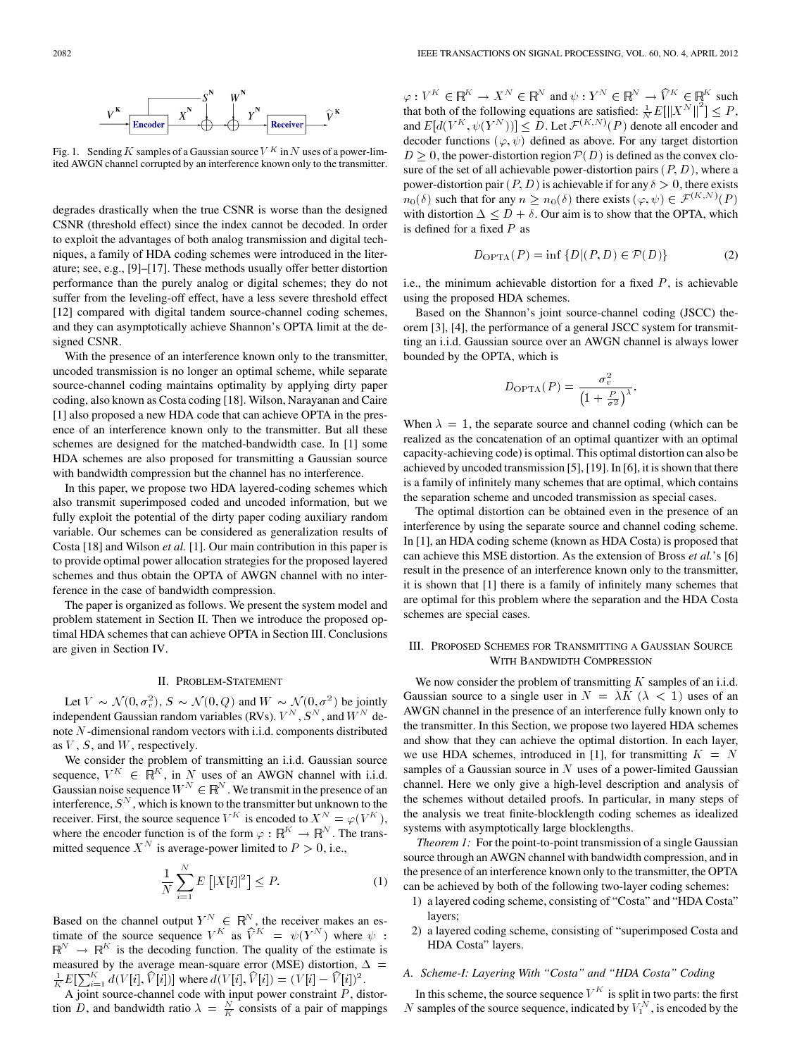

Fig. 1. Sending K samples of a Gaussian source  $V^K$  in N uses of a power-limited AWGN channel corrupted by an interference known only to the transmitter.

degrades drastically when the true CSNR is worse than the designed CSNR (threshold effect) since the index cannot be decoded. In order to exploit the advantages of both analog transmission and digital techniques, a family of HDA coding schemes were introduced in the literature; see, e.g., [9]–[17]. These methods usually offer better distortion performance than the purely analog or digital schemes; they do not suffer from the leveling-off effect, have a less severe threshold effect [12] compared with digital tandem source-channel coding schemes, and they can asymptotically achieve Shannon's OPTA limit at the designed CSNR.

With the presence of an interference known only to the transmitter, uncoded transmission is no longer an optimal scheme, while separate source-channel coding maintains optimality by applying dirty paper coding, also known as Costa coding [18]. Wilson, Narayanan and Caire [1] also proposed a new HDA code that can achieve OPTA in the presence of an interference known only to the transmitter. But all these schemes are designed for the matched-bandwidth case. In [1] some HDA schemes are also proposed for transmitting a Gaussian source with bandwidth compression but the channel has no interference.

In this paper, we propose two HDA layered-coding schemes which also transmit superimposed coded and uncoded information, but we fully exploit the potential of the dirty paper coding auxiliary random variable. Our schemes can be considered as generalization results of Costa [18] and Wilson *et al.* [1]. Our main contribution in this paper is to provide optimal power allocation strategies for the proposed layered schemes and thus obtain the OPTA of AWGN channel with no interference in the case of bandwidth compression.

The paper is organized as follows. We present the system model and problem statement in Section II. Then we introduce the proposed optimal HDA schemes that can achieve OPTA in Section III. Conclusions are given in Section IV.

# II. PROBLEM-STATEMENT

Let  $V \sim \mathcal{N}(0, \sigma_v^2)$ ,  $S \sim \mathcal{N}(0, Q)$  and  $W \sim \mathcal{N}(0, \sigma^2)$  be jointly independent Gaussian random variables (RVs).  $V^N$ ,  $S^N$ , and  $W^N$  denote  $N$ -dimensional random vectors with i.i.d. components distributed as  $V$ ,  $S$ , and  $W$ , respectively.

We consider the problem of transmitting an i.i.d. Gaussian source sequence,  $V^K \in \mathbb{R}^K$ , in N uses of an AWGN channel with i.i.d. Gaussian noise sequence  $W^N \in \mathbb{R}^N$ . We transmit in the presence of an interference,  $S^N$ , which is known to the transmitter but unknown to the receiver. First, the source sequence  $V^K$  is encoded to  $X^N = \varphi(V^K)$ , where the encoder function is of the form  $\varphi : \mathbb{R}^K \to \mathbb{R}^N$ . The transmitted sequence  $X^N$  is average-power limited to  $P > 0$ , i.e.,

$$
\frac{1}{N} \sum_{i=1}^{N} E\left[|X[i]|^2\right] \le P. \tag{1}
$$

Based on the channel output  $Y^N \in \mathbb{R}^N$ , the receiver makes an estimate of the source sequence  $V^K$  as  $\widehat{V}^K = \psi(Y^N)$  where  $\psi$ :  $\mathbb{R}^N \to \mathbb{R}^K$  is the decoding function. The quality of the estimate is measured by the average mean-square error (MSE) distortion,  $\Delta$  =  $\frac{1}{K}E[\sum_{i=1}^{K} d(V[i], \hat{V}[i])]$  where  $d(V[i], \hat{V}[i]) = (V[i] - \hat{V}[i])^{2}$ .

A joint source-channel code with input power constraint  $P$ , distortion D, and bandwidth ratio  $\lambda = \frac{N}{K}$  consists of a pair of mappings  $\varphi: V^K \in \mathbb{R}^K \to X^N \in \mathbb{R}^N$  and  $\psi: Y^N \in \mathbb{R}^N \to \widehat{V}^K \in \mathbb{R}^K$  such that both of the following equations are satisfied:  $\frac{1}{N}E[\left\|X^N\right\|^2] \leq P$ , and E $[d(V^K, \psi(Y^N))] \leq D$ . Let  $\mathcal{F}^{(K,N)}(P)$  denote all encoder and decoder functions  $(\varphi, \psi)$  defined as above. For any target distortion  $D \geq 0$ , the power-distortion region  $P(D)$  is defined as the convex closure of the set of all achievable power-distortion pairs  $(P, D)$ , where a power-distortion pair  $(P, D)$  is achievable if for any  $\delta > 0$ , there exists  $n_0(\delta)$  such that for any  $n \geq n_0(\delta)$  there exists  $(\varphi, \psi) \in \mathcal{F}^{(K,N)}(P)$ with distortion  $\Delta \leq D + \delta$ . Our aim is to show that the OPTA, which is defined for a fixed  $P$  as

$$
D_{\text{OPTA}}(P) = \inf \{ D | (P, D) \in \mathcal{P}(D) \}
$$
 (2)

i.e., the minimum achievable distortion for a fixed  $P$ , is achievable using the proposed HDA schemes.

Based on the Shannon's joint source-channel coding (JSCC) theorem [3], [4], the performance of a general JSCC system for transmitting an i.i.d. Gaussian source over an AWGN channel is always lower bounded by the OPTA, which is

$$
D_{\text{OPTA}}(P) = \frac{\sigma_v^2}{\left(1 + \frac{P}{\sigma^2}\right)^{\lambda}}.
$$

When  $\lambda = 1$ , the separate source and channel coding (which can be realized as the concatenation of an optimal quantizer with an optimal capacity-achieving code) is optimal. This optimal distortion can also be achieved by uncoded transmission [5], [19]. In [6], it is shown that there is a family of infinitely many schemes that are optimal, which contains the separation scheme and uncoded transmission as special cases.

The optimal distortion can be obtained even in the presence of an interference by using the separate source and channel coding scheme. In [1], an HDA coding scheme (known as HDA Costa) is proposed that can achieve this MSE distortion. As the extension of Bross *et al.*'s [6] result in the presence of an interference known only to the transmitter, it is shown that [1] there is a family of infinitely many schemes that are optimal for this problem where the separation and the HDA Costa schemes are special cases.

# III. PROPOSED SCHEMES FOR TRANSMITTING A GAUSSIAN SOURCE WITH BANDWIDTH COMPRESSION

We now consider the problem of transmitting  $K$  samples of an i.i.d. Gaussian source to a single user in  $N = \lambda K (\lambda < 1)$  uses of an AWGN channel in the presence of an interference fully known only to the transmitter. In this Section, we propose two layered HDA schemes and show that they can achieve the optimal distortion. In each layer, we use HDA schemes, introduced in [1], for transmitting  $K = N$ samples of a Gaussian source in  $N$  uses of a power-limited Gaussian channel. Here we only give a high-level description and analysis of the schemes without detailed proofs. In particular, in many steps of the analysis we treat finite-blocklength coding schemes as idealized systems with asymptotically large blocklengths.

*Theorem 1:* For the point-to-point transmission of a single Gaussian source through an AWGN channel with bandwidth compression, and in the presence of an interference known only to the transmitter, the OPTA can be achieved by both of the following two-layer coding schemes:

- 1) a layered coding scheme, consisting of "Costa" and "HDA Costa" layers;
- 2) a layered coding scheme, consisting of "superimposed Costa and HDA Costa" layers.

# *A. Scheme-I: Layering With "Costa" and "HDA Costa" Coding*

In this scheme, the source sequence  $V^K$  is split in two parts: the first  $N$  samples of the source sequence, indicated by  $V_1^N$ , is encoded by the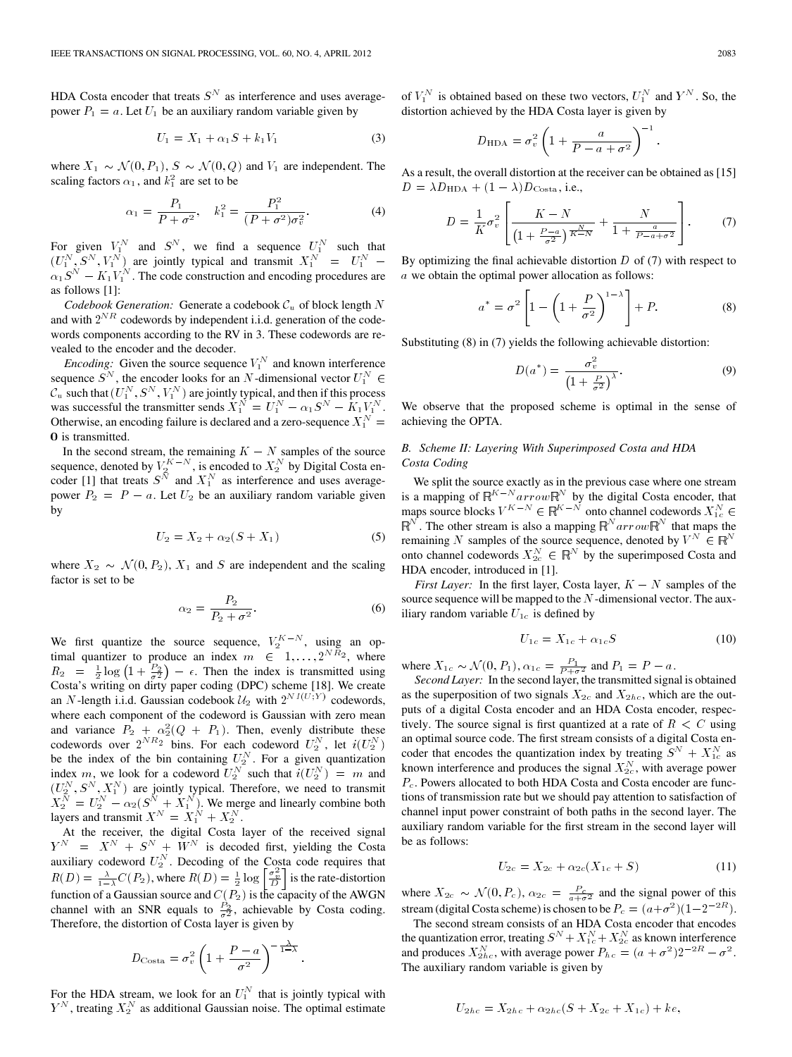HDA Costa encoder that treats  $S<sup>N</sup>$  as interference and uses averagepower  $P_1 = a$ . Let  $U_1$  be an auxiliary random variable given by

$$
U_1 = X_1 + \alpha_1 S + k_1 V_1 \tag{3}
$$

where  $X_1 \sim \mathcal{N}(0, P_1)$ ,  $S \sim \mathcal{N}(0, Q)$  and  $V_1$  are independent. The scaling factors  $\alpha_1$ , and  $k_1^2$  are set to be

$$
\alpha_1 = \frac{P_1}{P + \sigma^2}, \quad k_1^2 = \frac{P_1^2}{(P + \sigma^2)\sigma_v^2}.
$$
 (4)

For given  $V_1^N$  and  $S^N$ , we find a sequence  $U_1^N$  such that  $(U_1^N, S^N, V_1^N)$  are jointly typical and transmit  $X_1^N = U_1^N$  - $\alpha_1 S^N - K_1 V_1^N$ . The code construction and encoding procedures are as follows [1]:

*Codebook Generation:* Generate a codebook  $C_u$  of block length  $N$ and with  $2^{NR}$  codewords by independent i.i.d. generation of the codewords components according to the RV in 3. These codewords are revealed to the encoder and the decoder.

*Encoding:* Given the source sequence  $V_1^N$  and known interference sequence  $S^N$ , the encoder looks for an N-dimensional vector  $U_1^N \in$  $\mathcal{C}_u$  such that  $(U_1^N, S^N, V_1^N)$  are jointly typical, and then if this process was successful the transmitter sends  $X_1^N = U_1^N - \alpha_1 S^N - \hat{K}_1 V_1^N$ . Otherwise, an encoding failure is declared and a zero-sequence  $X_1^N$  = 0 is transmitted.

In the second stream, the remaining  $K - N$  samples of the source sequence, denoted by  $V_2^{K-N}$ , is encoded to  $X_2^N$  by Digital Costa encoder [1] that treats  $S^{\tilde{N}}$  and  $X_1^N$  as interference and uses averagepower  $P_2 = P - a$ . Let  $U_2$  be an auxiliary random variable given by

$$
U_2 = X_2 + \alpha_2(S + X_1)
$$
 (5)

where  $X_2 \sim \mathcal{N}(0, P_2)$ ,  $X_1$  and S are independent and the scaling factor is set to be

$$
\alpha_2 = \frac{P_2}{P_2 + \sigma^2}.\tag{6}
$$

.

We first quantize the source sequence,  $V_2^{K-N}$ , using an optimal quantizer to produce an index  $m \in [1, \ldots, 2^{N \overline{R}_2}]$ , where  $R_2 = \frac{1}{2} \log \left(1 + \frac{P_2}{\sigma^2}\right) - \epsilon$ . Then the index is transmitted using Costa's writing on dirty paper coding (DPC) scheme [18]. We create an N-length i.i.d. Gaussian codebook  $\mathcal{U}_2$  with  $2^{NI(U,Y)}$  codewords, where each component of the codeword is Gaussian with zero mean and variance  $P_2 + \alpha_2^2(Q_1 + P_1)$ . Then, evenly distribute these codewords over  $2^{NR_2}$  bins. For each codeword  $U_2^N$ , let  $i(U_2^N)$ be the index of the bin containing  $U_2^N$ . For a given quantization index m, we look for a codeword  $\overline{U_2^N}$  such that  $i(\overline{U_2^N})^T = m$  and  $(U_2^N, S^N, X_1^N)$  are jointly typical. Therefore, we need to transmit  $X_2^N = U_2^N - \alpha_2 (S^N + X_1^N)$ . We merge and linearly combine both layers and transmit  $X^N = X_1^N + X_2^N$ .

At the receiver, the digital Costa layer of the received signal  $Y^N = X^N + S^N + \tilde{W}^N$  is decoded first, yielding the Costa auxiliary codeword  $U_2^N$ . Decoding of the Costa code requires that  $R(D) = \frac{\lambda}{1-\lambda}C(P_2)$ , where  $R(D) = \frac{1}{2}\log\left[\frac{\sigma_v^2}{D}\right]$  is the rate-distortion function of a Gaussian source and  $C(P_2)$  is the capacity of the AWGN channel with an SNR equals to  $\frac{P_2}{\sigma^2}$ , achievable by Costa coding. Therefore, the distortion of Costa layer is given by

$$
D_{\text{Costa}} = \sigma_v^2 \left( 1 + \frac{P - a}{\sigma^2} \right)^{-\frac{\lambda}{1 - \lambda}}
$$

For the HDA stream, we look for an  $U_1^N$  that is jointly typical with  $Y^N$ , treating  $X_2^N$  as additional Gaussian noise. The optimal estimate

of  $V_1^N$  is obtained based on these two vectors,  $U_1^N$  and  $Y^N$ . So, the distortion achieved by the HDA Costa layer is given by

$$
D_{\text{HDA}} = \sigma_v^2 \left( 1 + \frac{a}{P - a + \sigma^2} \right)^{-1}.
$$

As a result, the overall distortion at the receiver can be obtained as [15]  $D = \lambda D_{\text{HDA}} + (1 - \lambda) D_{\text{Costa}}, \text{ i.e.,}$ 

$$
D = \frac{1}{K} \sigma_v^2 \left[ \frac{K - N}{\left(1 + \frac{P - a}{\sigma^2}\right)^{\frac{N}{K - N}}} + \frac{N}{1 + \frac{a}{P - a + \sigma^2}} \right].
$$
 (7)

By optimizing the final achievable distortion  $D$  of (7) with respect to  $a$  we obtain the optimal power allocation as follows:

$$
a^* = \sigma^2 \left[ 1 - \left( 1 + \frac{P}{\sigma^2} \right)^{1 - \lambda} \right] + P. \tag{8}
$$

Substituting (8) in (7) yields the following achievable distortion:

$$
D(a^*) = \frac{\sigma_v^2}{\left(1 + \frac{P}{\sigma^2}\right)^\lambda}.
$$
\n(9)

We observe that the proposed scheme is optimal in the sense of achieving the OPTA.

# *B. Scheme II: Layering With Superimposed Costa and HDA Costa Coding*

We split the source exactly as in the previous case where one stream is a mapping of  $\mathbb{R}^{K-N}$  arrow $\mathbb{R}^{N}$  by the digital Costa encoder, that maps source blocks  $V^{K-N} \in \mathbb{R}^{K-N}$  onto channel codewords  $X_{1c}^{N} \in \mathbb{R}^{N}$ . The other stream is also a mapping  $\mathbb{R}^{N}$  arrow $\mathbb{R}^{N}$  that maps the  $\mathbb{R}^N$ . The other stream is also a mapping  $\mathbb{R}^N$  arrow  $\mathbb{R}^N$  that maps the remaining N samples of the source sequence, denoted by  $V^N \in \mathbb{R}^N$ onto channel codewords  $X_{2c}^N \in \mathbb{R}^N$  by the superimposed Costa and HDA encoder, introduced in [1].

*First Layer:* In the first layer, Costa layer,  $K - N$  samples of the source sequence will be mapped to the  $N$ -dimensional vector. The auxiliary random variable  $U_{1c}$  is defined by

$$
U_{1c} = X_{1c} + \alpha_{1c}S \tag{10}
$$

where  $X_{1c} \sim \mathcal{N}(0, P_1)$ ,  $\alpha_{1c} = \frac{P_1}{P + \sigma^2}$  and  $P_1 = P - a$ .

*Second Layer:* In the second layer, the transmitted signal is obtained as the superposition of two signals  $X_{2c}$  and  $X_{2hc}$ , which are the outputs of a digital Costa encoder and an HDA Costa encoder, respectively. The source signal is first quantized at a rate of  $R \leq C$  using an optimal source code. The first stream consists of a digital Costa encoder that encodes the quantization index by treating  $S^N + X_{1c}^N$  as known interference and produces the signal  $X_{2c}^N$ , with average power  $P_c$ . Powers allocated to both HDA Costa and Costa encoder are functions of transmission rate but we should pay attention to satisfaction of channel input power constraint of both paths in the second layer. The auxiliary random variable for the first stream in the second layer will be as follows:

$$
U_{2c} = X_{2c} + \alpha_{2c}(X_{1c} + S) \tag{11}
$$

where  $X_{2c} \sim \mathcal{N}(0, P_c)$ ,  $\alpha_{2c} = \frac{P_c}{a + \sigma^2}$  and the signal power of this stream (digital Costa scheme) is chosen to be  $P_c = (a + \sigma^2)(1 - 2^{-2R})$ .

The second stream consists of an HDA Costa encoder that encodes the quantization error, treating  $S^N + X^N_{1c} + X^N_{2c}$  as known interference and produces  $X_{2hc}^N$ , with average power  $P_{hc} = (a + \sigma^2)2^{-2R} - \sigma^2$ . The auxiliary random variable is given by

$$
U_{2hc} = X_{2hc} + \alpha_{2hc}(S + X_{2c} + X_{1c}) + ke,
$$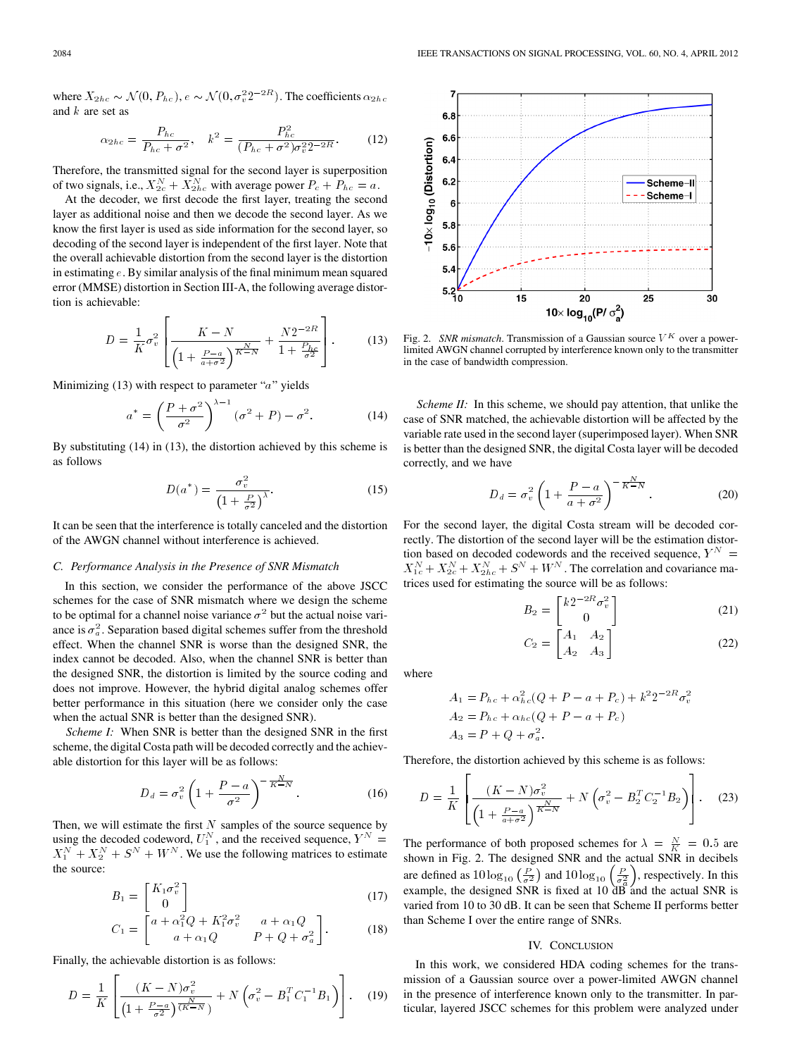where  $X_{2hc} \sim \mathcal{N}(0, P_{hc})$ ,  $e \sim \mathcal{N}(0, \sigma_v^2 2^{-2R})$ . The coefficients  $\alpha_{2hc}$ and  $k$  are set as

$$
\alpha_{2hc} = \frac{P_{hc}}{P_{hc} + \sigma^2}, \quad k^2 = \frac{P_{hc}^2}{(P_{hc} + \sigma^2)\sigma_v^2 2^{-2R}}.
$$
 (12)

Therefore, the transmitted signal for the second layer is superposition of two signals, i.e.,  $X_{2c}^{N} + X_{2hc}^{N}$  with average power  $P_c + P_{hc} = a$ .

At the decoder, we first decode the first layer, treating the second layer as additional noise and then we decode the second layer. As we know the first layer is used as side information for the second layer, so decoding of the second layer is independent of the first layer. Note that the overall achievable distortion from the second layer is the distortion in estimating  $e$ . By similar analysis of the final minimum mean squared error (MMSE) distortion in Section III-A, the following average distortion is achievable:

$$
D = \frac{1}{K} \sigma_v^2 \left[ \frac{K - N}{\left(1 + \frac{P - a}{a + \sigma^2}\right)^{\frac{N}{K - N}}} + \frac{N2^{-2R}}{1 + \frac{P_{hc}}{\sigma^2}} \right].
$$
 (13)

Minimizing  $(13)$  with respect to parameter " $a$ " yields

$$
a^* = \left(\frac{P+\sigma^2}{\sigma^2}\right)^{\lambda-1} (\sigma^2 + P) - \sigma^2.
$$
 (14)

By substituting (14) in (13), the distortion achieved by this scheme is as follows

$$
D(a^*) = \frac{\sigma_v^2}{\left(1 + \frac{P}{\sigma^2}\right)^{\lambda}}.\tag{15}
$$

It can be seen that the interference is totally canceled and the distortion of the AWGN channel without interference is achieved.

### *C. Performance Analysis in the Presence of SNR Mismatch*

In this section, we consider the performance of the above JSCC schemes for the case of SNR mismatch where we design the scheme to be optimal for a channel noise variance  $\sigma^2$  but the actual noise variance is  $\sigma_a^2$ . Separation based digital schemes suffer from the threshold effect. When the channel SNR is worse than the designed SNR, the index cannot be decoded. Also, when the channel SNR is better than the designed SNR, the distortion is limited by the source coding and does not improve. However, the hybrid digital analog schemes offer better performance in this situation (here we consider only the case when the actual SNR is better than the designed SNR).

*Scheme I:* When SNR is better than the designed SNR in the first scheme, the digital Costa path will be decoded correctly and the achievable distortion for this layer will be as follows:

$$
D_d = \sigma_v^2 \left( 1 + \frac{P - a}{\sigma^2} \right)^{-\frac{N}{K - N}}.
$$
 (16)

Then, we will estimate the first  $N$  samples of the source sequence by using the decoded codeword,  $U_1^N$ , and the received sequence,  $Y^N =$  $X_1^N + X_2^N + S^N + W^N$ . We use the following matrices to estimate the source:

$$
B_1 = \begin{bmatrix} K_1 \sigma_v^2 \\ 0 \end{bmatrix} \tag{17}
$$

$$
C_1 = \begin{bmatrix} a + \alpha_1^2 Q + K_1^2 \sigma_v^2 & a + \alpha_1 Q \\ a + \alpha_1 Q & P + Q + \sigma_a^2 \end{bmatrix}.
$$
 (18)

Finally, the achievable distortion is as follows:

$$
D = \frac{1}{K} \left[ \frac{(K - N)\sigma_v^2}{\left(1 + \frac{P - a}{\sigma^2}\right)^{\frac{N}{(K - N)}}} + N \left(\sigma_v^2 - B_1^T C_1^{-1} B_1\right) \right].
$$
 (19)



Fig. 2. *SNR mismatch*. Transmission of a Gaussian source  $V^K$  over a powerlimited AWGN channel corrupted by interference known only to the transmitter in the case of bandwidth compression.

*Scheme II:* In this scheme, we should pay attention, that unlike the case of SNR matched, the achievable distortion will be affected by the variable rate used in the second layer (superimposed layer). When SNR is better than the designed SNR, the digital Costa layer will be decoded correctly, and we have

$$
D_d = \sigma_v^2 \left( 1 + \frac{P - a}{a + \sigma^2} \right)^{-\frac{N}{K - N}}.
$$
 (20)

For the second layer, the digital Costa stream will be decoded correctly. The distortion of the second layer will be the estimation distortion based on decoded codewords and the received sequence,  $\boldsymbol{Y}^N$  =  $X_{1c}^{N} + X_{2c}^{N} + X_{2hc}^{N} + S^{N} + W^{N}$ . The correlation and covariance matrices used for estimating the source will be as follows:

$$
B_2 = \begin{bmatrix} k2^{-2R}\sigma_v^2\\0 \end{bmatrix} \tag{21}
$$

$$
C_2 = \begin{bmatrix} A_1 & A_2 \\ A_2 & A_3 \end{bmatrix} \tag{22}
$$

where

$$
A_1 = P_{hc} + \alpha_{hc}^2 (Q + P - a + P_c) + k^2 2^{-2R} \sigma_v^2
$$
  
\n
$$
A_2 = P_{hc} + \alpha_{hc} (Q + P - a + P_c)
$$
  
\n
$$
A_3 = P + Q + \sigma_a^2.
$$

Therefore, the distortion achieved by this scheme is as follows:

$$
D = \frac{1}{K} \left[ \frac{(K - N)\sigma_v^2}{\left(1 + \frac{P - a}{a + \sigma^2}\right)^{\frac{N}{K - N}}} + N \left(\sigma_v^2 - B_2^T C_2^{-1} B_2\right) \right].
$$
 (23)

The performance of both proposed schemes for  $\lambda = \frac{N}{K} = 0.5$  are shown in Fig. 2. The designed SNR and the actual SNR in decibels are defined as  $10\log_{10}\left(\frac{P}{\sigma^2}\right)$  and  $10\log_{10}\left(\frac{P}{\sigma^2}\right)$ , respectively. In this example, the designed SNR is fixed at 10  $\overrightarrow{dB}$  and the actual SNR is varied from 10 to 30 dB. It can be seen that Scheme II performs better than Scheme I over the entire range of SNRs.

### IV. CONCLUSION

In this work, we considered HDA coding schemes for the transmission of a Gaussian source over a power-limited AWGN channel in the presence of interference known only to the transmitter. In particular, layered JSCC schemes for this problem were analyzed under